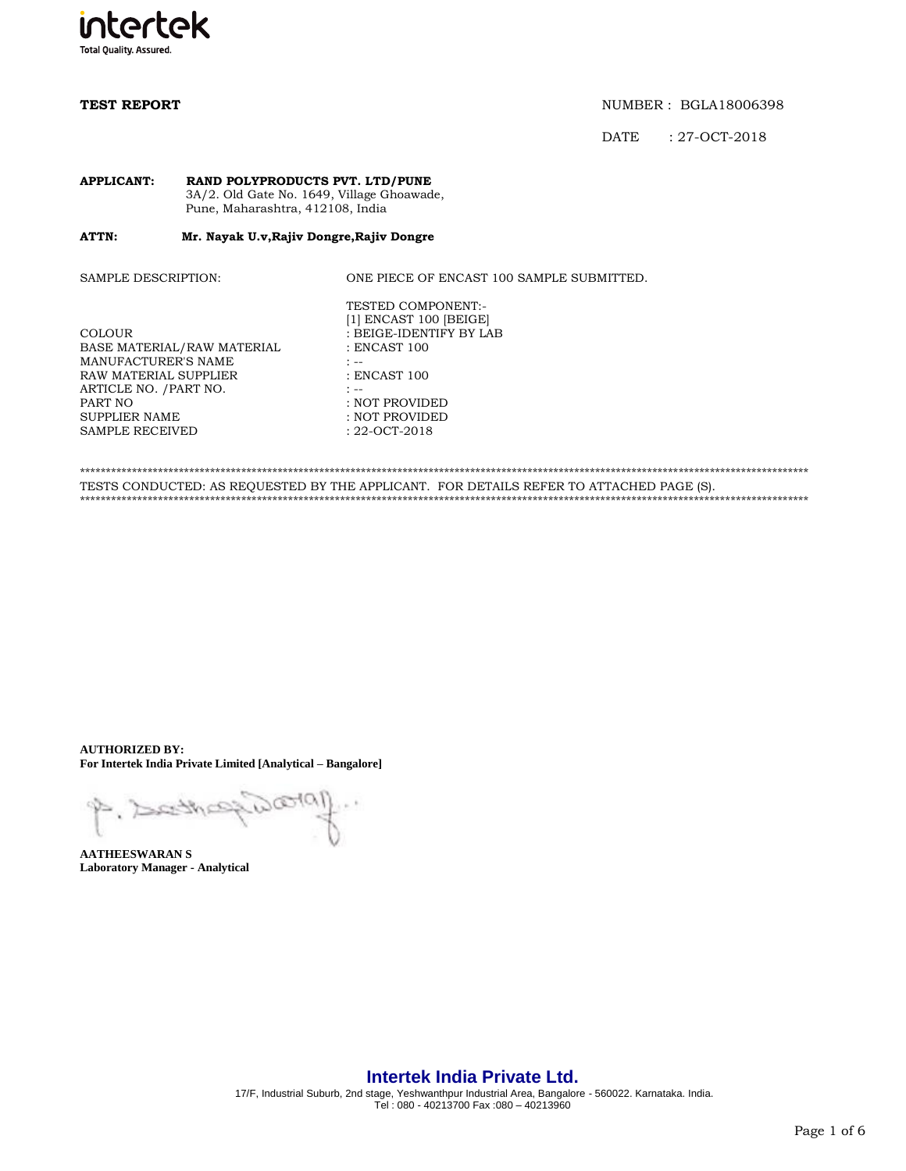

**TEST REPORT NUMBER : BGLA18006398** 

DATE : 27-OCT-2018

#### **APPLICANT: RAND POLYPRODUCTS PVT. LTD/PUNE** 3A/2. Old Gate No. 1649, Village Ghoawade, Pune, Maharashtra, 412108, India

#### ATTN: **ATTN: Mr. Nayak U.v,Rajiv Dongre,Rajiv Dongre**

SAMPLE DESCRIPTION: ONE PIECE OF ENCAST 100 SAMPLE SUBMITTED.

|                            | $\vert \cdot \vert$  |
|----------------------------|----------------------|
| <b>COLOUR</b>              | $\, : \, \mathbf{B}$ |
| BASE MATERIAL/RAW MATERIAL | : E                  |
| MANUFACTURER'S NAME        | $: - -$              |
| RAW MATERIAL SUPPLIER      | ÷Е                   |
| ARTICLE NO. / PART NO.     | $: - -$              |
| PART NO                    | $\cdot$ N            |
| <b>SUPPLIER NAME</b>       | : N                  |
| <b>SAMPLE RECEIVED</b>     | : 22                 |

TESTED COMPONENT:- [1] ENCAST 100 [BEIGE] : BEIGE-IDENTIFY BY LAB : ENCAST 100<br>: -- $:$  ENCAST 100 : NOT PROVIDED : NOT PROVIDED : 22-OCT-2018

\*\*\*\*\*\*\*\*\*\*\*\*\*\*\*\*\*\*\*\*\*\*\*\*\*\*\*\*\*\*\*\*\*\*\*\*\*\*\*\*\*\*\*\*\*\*\*\*\*\*\*\*\*\*\*\*\*\*\*\*\*\*\*\*\*\*\*\*\*\*\*\*\*\*\*\*\*\*\*\*\*\*\*\*\*\*\*\*\*\*\*\*\*\*\*\*\*\*\*\*\*\*\*\*\*\*\*\*\*\*\*\*\*\*\*\*\*\*\*\*\*\*\*\*\*\*\*\*\*\*\*\*\*\*\*\*\*\*\*\* TESTS CONDUCTED: AS REQUESTED BY THE APPLICANT. FOR DETAILS REFER TO ATTACHED PAGE (S). \*\*\*\*\*\*\*\*\*\*\*\*\*\*\*\*\*\*\*\*\*\*\*\*\*\*\*\*\*\*\*\*\*\*\*\*\*\*\*\*\*\*\*\*\*\*\*\*\*\*\*\*\*\*\*\*\*\*\*\*\*\*\*\*\*\*\*\*\*\*\*\*\*\*\*\*\*\*\*\*\*\*\*\*\*\*\*\*\*\*\*\*\*\*\*\*\*\*\*\*\*\*\*\*\*\*\*\*\*\*\*\*\*\*\*\*\*\*\*\*\*\*\*\*\*\*\*\*\*\*\*\*\*\*\*\*\*\*\*\*

**AUTHORIZED BY: For Intertek India Private Limited [Analytical – Bangalore]**

 $D@401$ P. Dethe

**AATHEESWARAN S Laboratory Manager - Analytical**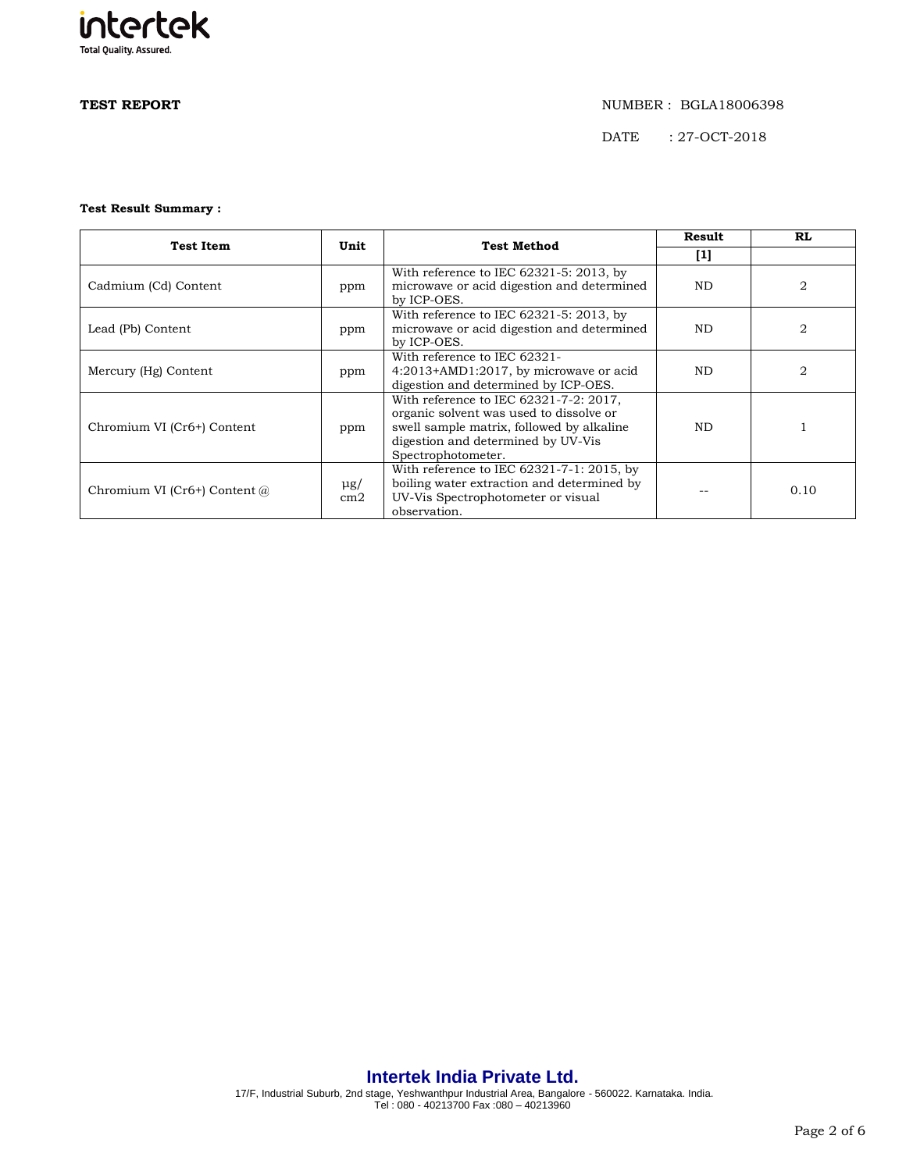# intertek **Total Quality. Assured.**

### **TEST REPORT** NUMBER : BGLA18006398

DATE : 27-OCT-2018

## **Test Result Summary :**

| <b>Test Item</b>               | Unit            | <b>Test Method</b>                                                                                                                                                                         | Result    | RL   |
|--------------------------------|-----------------|--------------------------------------------------------------------------------------------------------------------------------------------------------------------------------------------|-----------|------|
|                                |                 |                                                                                                                                                                                            | $[1]$     |      |
| Cadmium (Cd) Content           | ppm             | With reference to IEC $62321 - 5$ : 2013, by<br>microwave or acid digestion and determined<br>by ICP-OES.                                                                                  | ND.       | 2    |
| Lead (Pb) Content              | ppm             | With reference to IEC 62321-5: 2013, by<br>microwave or acid digestion and determined<br>by ICP-OES.                                                                                       | ND.       | 2    |
| Mercury (Hg) Content           | ppm             | With reference to IEC 62321-<br>4:2013+AMD1:2017, by microwave or acid<br>digestion and determined by ICP-OES.                                                                             | ND.       | 2    |
| Chromium VI (Cr6+) Content     | ppm             | With reference to IEC 62321-7-2: 2017,<br>organic solvent was used to dissolve or<br>swell sample matrix, followed by alkaline<br>digestion and determined by UV-Vis<br>Spectrophotometer. | <b>ND</b> |      |
| Chromium VI (Cr6+) Content $@$ | $\mu$ g/<br>cm2 | With reference to IEC 62321-7-1: 2015, by<br>boiling water extraction and determined by<br>UV-Vis Spectrophotometer or visual<br>observation.                                              |           | 0.10 |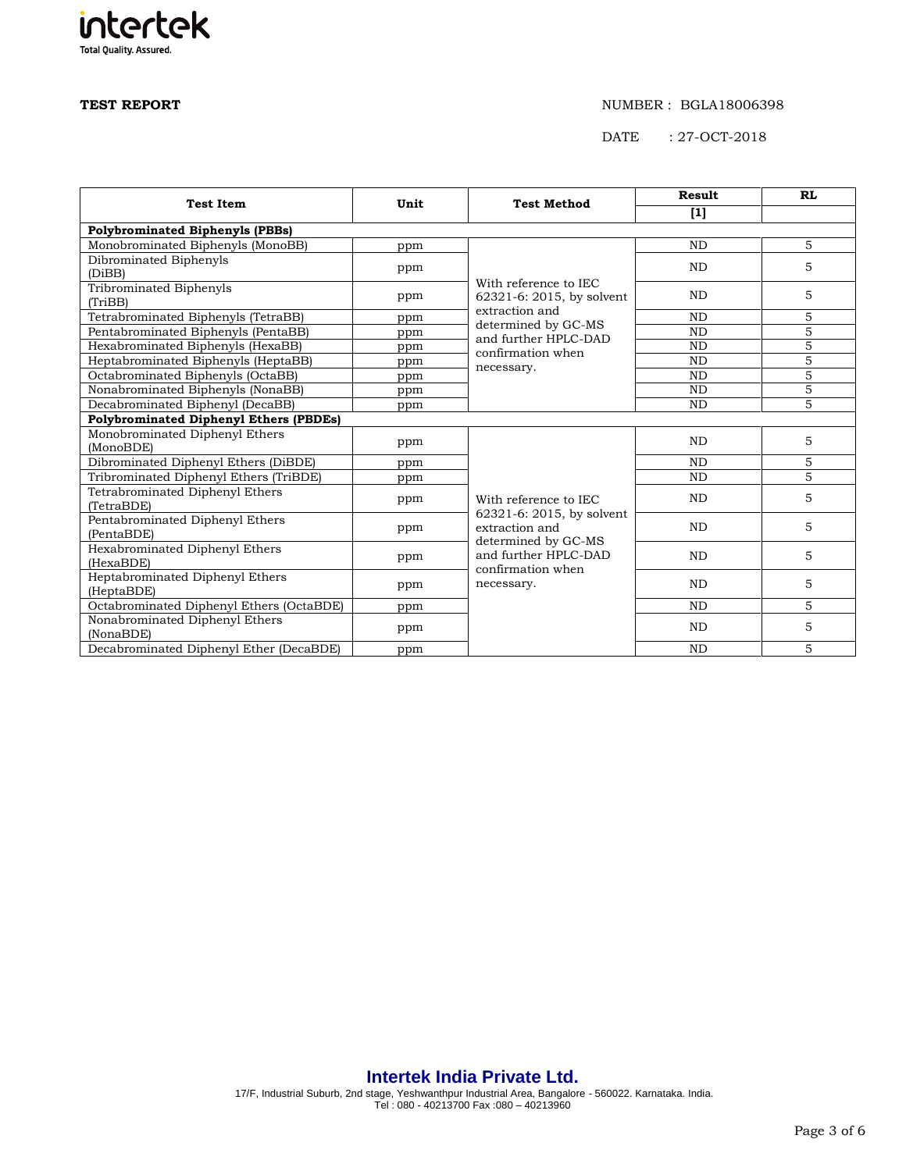# intertek **Total Quality. Assured.**

### **TEST REPORT** NUMBER : BGLA18006398

DATE : 27-OCT-2018

| <b>Test Item</b>                              | Unit | <b>Test Method</b>        | <b>Result</b>          | RL             |  |
|-----------------------------------------------|------|---------------------------|------------------------|----------------|--|
|                                               |      |                           | $[1]$                  |                |  |
| <b>Polybrominated Biphenyls (PBBs)</b>        |      |                           |                        |                |  |
| Monobrominated Biphenyls (MonoBB)             | ppm  |                           | <b>ND</b>              | 5              |  |
| Dibrominated Biphenyls                        |      |                           | <b>ND</b>              | 5              |  |
| (DiBB)                                        | ppm  | With reference to IEC     |                        |                |  |
| Tribrominated Biphenyls                       | ppm  | 62321-6: 2015, by solvent | <b>ND</b>              | 5              |  |
| (TriBB)                                       |      | extraction and            |                        |                |  |
| Tetrabrominated Biphenyls (TetraBB)           | ppm  | determined by GC-MS       | N <sub>D</sub>         | 5              |  |
| Pentabrominated Biphenyls (PentaBB)           | ppm  | and further HPLC-DAD      | <b>ND</b>              | $\overline{5}$ |  |
| Hexabrominated Biphenyls (HexaBB)             | ppm  | confirmation when         | <b>ND</b><br><b>ND</b> | $\overline{5}$ |  |
| Heptabrominated Biphenyls (HeptaBB)           | ppm  |                           |                        | 5              |  |
| Octabrominated Biphenyls (OctaBB)             | ppm  | necessary.                |                        | $\overline{5}$ |  |
| Nonabrominated Biphenyls (NonaBB)             | ppm  |                           | <b>ND</b>              | $\overline{5}$ |  |
| Decabrominated Biphenyl (DecaBB)              | ppm  |                           | <b>ND</b>              | 5              |  |
| <b>Polybrominated Diphenyl Ethers (PBDEs)</b> |      |                           |                        |                |  |
| Monobrominated Diphenyl Ethers                | ppm  |                           | <b>ND</b>              | 5              |  |
| (MonoBDE)                                     |      |                           |                        |                |  |
| Dibrominated Diphenyl Ethers (DiBDE)          | ppm  |                           | <b>ND</b>              | 5              |  |
| Tribrominated Diphenyl Ethers (TriBDE)        | ppm  |                           | <b>ND</b>              | 5              |  |
| Tetrabrominated Diphenyl Ethers               | ppm  | With reference to IEC     | <b>ND</b>              | 5              |  |
| (TetraBDE)                                    |      | 62321-6: 2015, by solvent |                        |                |  |
| Pentabrominated Diphenyl Ethers               | ppm  | extraction and            | ND                     | 5              |  |
| (PentaBDE)                                    |      | determined by GC-MS       |                        |                |  |
| Hexabrominated Diphenyl Ethers                | ppm  | and further HPLC-DAD      | <b>ND</b>              | 5              |  |
| (HexaBDE)                                     |      | confirmation when         |                        |                |  |
| Heptabrominated Diphenyl Ethers               | ppm  | necessary.                | <b>ND</b>              | 5              |  |
| (HeptaBDE)                                    |      |                           |                        |                |  |
| Octabrominated Diphenyl Ethers (OctaBDE)      | ppm  |                           | <b>ND</b>              | 5              |  |
| Nonabrominated Diphenyl Ethers                | ppm  |                           | ND.                    | 5              |  |
| (NonaBDE)                                     |      |                           |                        |                |  |
| Decabrominated Diphenyl Ether (DecaBDE)       | ppm  |                           | <b>ND</b>              | 5              |  |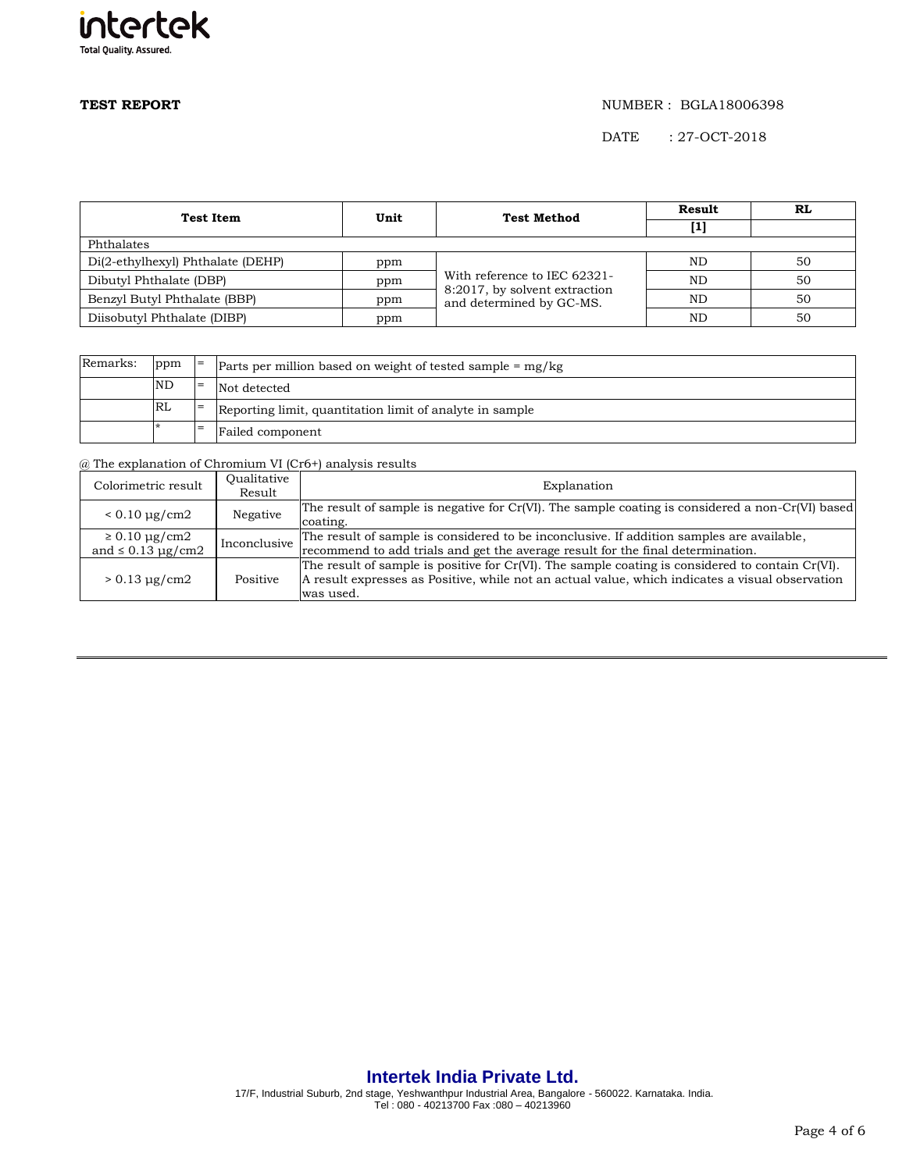

### **TEST REPORT** NUMBER : BGLA18006398

DATE : 27-OCT-2018

| <b>Test Item</b>                  | <b>Test Method</b><br>Unit | Result                                                                                    | RL        |    |  |
|-----------------------------------|----------------------------|-------------------------------------------------------------------------------------------|-----------|----|--|
|                                   |                            | [1]                                                                                       |           |    |  |
| Phthalates                        |                            |                                                                                           |           |    |  |
| Di(2-ethylhexyl) Phthalate (DEHP) | ppm                        | With reference to IEC 62321-<br>8:2017, by solvent extraction<br>and determined by GC-MS. | ND.       | 50 |  |
| Dibutyl Phthalate (DBP)           | ppm                        |                                                                                           | <b>ND</b> | 50 |  |
| Benzyl Butyl Phthalate (BBP)      | ppm                        |                                                                                           | <b>ND</b> | 50 |  |
| Diisobutyl Phthalate (DIBP)       | ppm                        |                                                                                           | ND        | 50 |  |

| Remarks: | ppm       | $=$ | Parts per million based on weight of tested sample $=$ mg/kg |
|----------|-----------|-----|--------------------------------------------------------------|
|          | <b>ND</b> | $=$ | Not detected                                                 |
|          | RL        |     | Reporting limit, quantitation limit of analyte in sample     |
|          |           | $=$ | <b>Failed component</b>                                      |

@ The explanation of Chromium VI (Cr6+) analysis results

| Colorimetric result                                | Oualitative<br>Result | Explanation                                                                                                                                                                                                      |
|----------------------------------------------------|-----------------------|------------------------------------------------------------------------------------------------------------------------------------------------------------------------------------------------------------------|
| $< 0.10 \mu g/cm2$                                 | Negative              | The result of sample is negative for $Cr(VI)$ . The sample coating is considered a non- $Cr(VI)$ based<br>coating.                                                                                               |
| $\geq 0.10 \mu g/cm2$<br>and $\leq 0.13 \mu$ g/cm2 | Inconclusive          | The result of sample is considered to be inconclusive. If addition samples are available,<br>recommend to add trials and get the average result for the final determination.                                     |
| $> 0.13 \mu g/cm2$                                 | Positive              | The result of sample is positive for Cr(VI). The sample coating is considered to contain Cr(VI).<br>A result expresses as Positive, while not an actual value, which indicates a visual observation<br>was used. |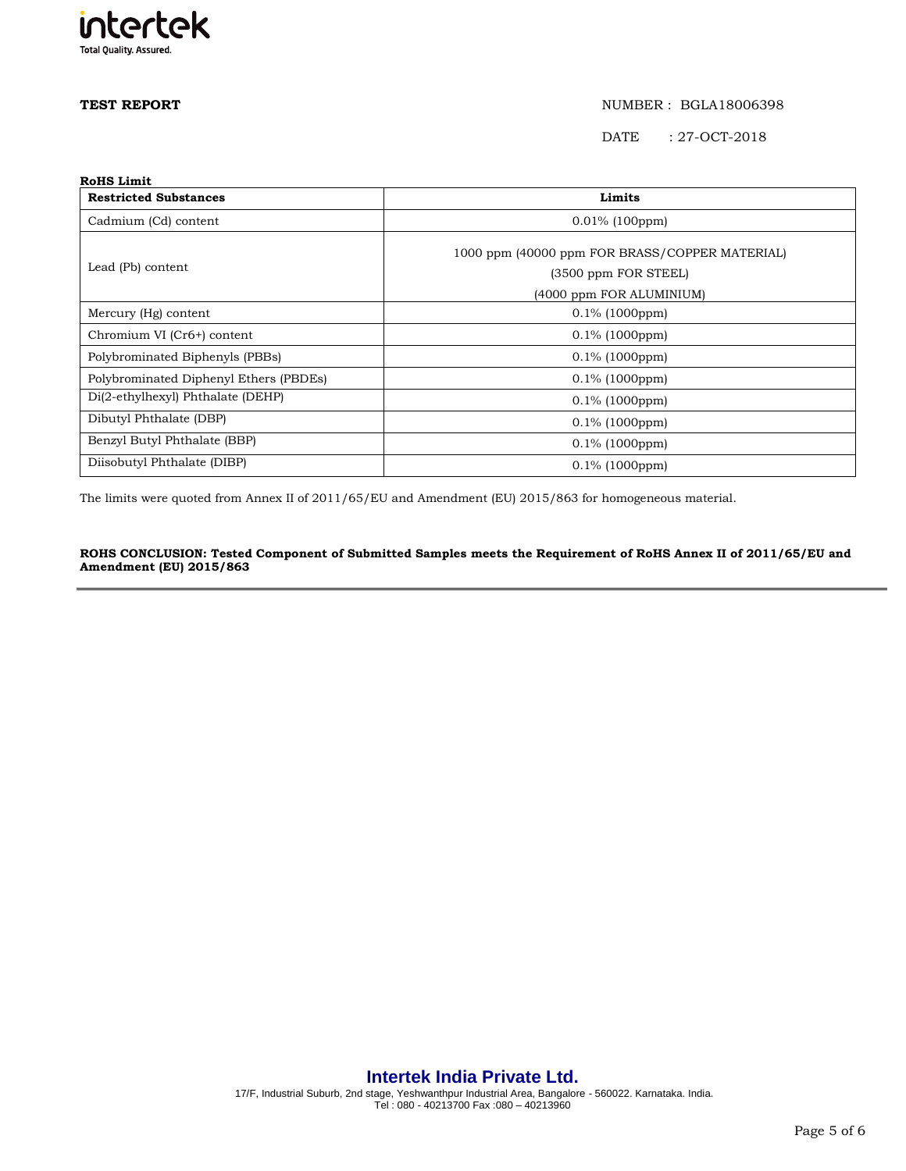

### **TEST REPORT** NUMBER : BGLA18006398

DATE : 27-OCT-2018

| <b>RoHS Limit</b>                      |                                                |  |  |
|----------------------------------------|------------------------------------------------|--|--|
| <b>Restricted Substances</b>           | Limits                                         |  |  |
| Cadmium (Cd) content                   | $0.01\%$ (100ppm)                              |  |  |
|                                        | 1000 ppm (40000 ppm FOR BRASS/COPPER MATERIAL) |  |  |
| Lead (Pb) content                      | (3500 ppm FOR STEEL)                           |  |  |
|                                        | (4000 ppm FOR ALUMINIUM)                       |  |  |
| Mercury (Hg) content                   | $0.1\%$ (1000ppm)                              |  |  |
| Chromium VI (Cr6+) content             | $0.1\%$ (1000ppm)                              |  |  |
| Polybrominated Biphenyls (PBBs)        | $0.1\%$ (1000ppm)                              |  |  |
| Polybrominated Diphenyl Ethers (PBDEs) | $0.1\%$ (1000ppm)                              |  |  |
| Di(2-ethylhexyl) Phthalate (DEHP)      | $0.1\%$ (1000ppm)                              |  |  |
| Dibutyl Phthalate (DBP)                | $0.1\%$ (1000ppm)                              |  |  |
| Benzyl Butyl Phthalate (BBP)           | $0.1\%$ (1000ppm)                              |  |  |
| Diisobutyl Phthalate (DIBP)            | $0.1\%$ (1000ppm)                              |  |  |

The limits were quoted from Annex II of 2011/65/EU and Amendment (EU) 2015/863 for homogeneous material.

### **ROHS CONCLUSION: Tested Component of Submitted Samples meets the Requirement of RoHS Annex II of 2011/65/EU and Amendment (EU) 2015/863**